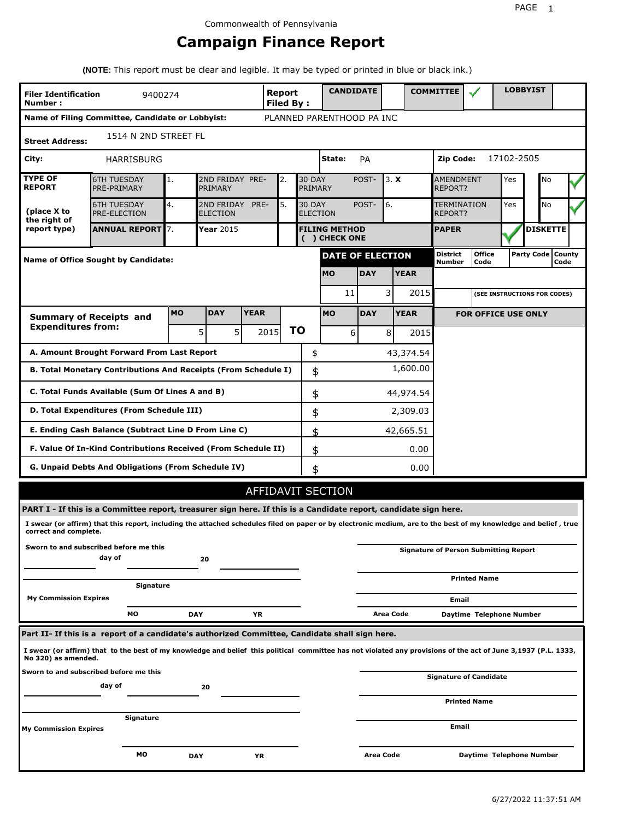# **Campaign Finance Report**

**(NOTE:** This report must be clear and legible. It may be typed or printed in blue or black ink.)

| <b>LOBBYIST</b><br><b>CANDIDATE</b><br><b>COMMITTEE</b><br>Report<br><b>Filer Identification</b><br>9400274<br>Number:<br>Filed By: |                                                                                                                                                                 |            |                               |             |                   |           |                                  |                                       |            |           |             |                                    |                                              |                 |                     |      |  |
|-------------------------------------------------------------------------------------------------------------------------------------|-----------------------------------------------------------------------------------------------------------------------------------------------------------------|------------|-------------------------------|-------------|-------------------|-----------|----------------------------------|---------------------------------------|------------|-----------|-------------|------------------------------------|----------------------------------------------|-----------------|---------------------|------|--|
|                                                                                                                                     | Name of Filing Committee, Candidate or Lobbyist:                                                                                                                |            |                               |             |                   |           |                                  | PLANNED PARENTHOOD PA INC             |            |           |             |                                    |                                              |                 |                     |      |  |
| <b>Street Address:</b>                                                                                                              | 1514 N 2ND STREET FL                                                                                                                                            |            |                               |             |                   |           |                                  |                                       |            |           |             |                                    |                                              |                 |                     |      |  |
| City:                                                                                                                               | HARRISBURG                                                                                                                                                      |            |                               |             |                   |           |                                  | State:                                | PA         |           |             | Zip Code:                          |                                              | 17102-2505      |                     |      |  |
| <b>TYPE OF</b><br><b>REPORT</b>                                                                                                     | <b>6TH TUESDAY</b><br>PRE-PRIMARY                                                                                                                               | 1.         | 2ND FRIDAY PRE-<br>PRIMARY    |             | 2.                |           | <b>30 DAY</b><br>PRIMARY         |                                       | POST-      | 3. X      |             | <b>AMENDMENT</b><br><b>REPORT?</b> |                                              | Yes             | No                  |      |  |
| (place X to<br>the right of                                                                                                         | <b>6TH TUESDAY</b><br>PRE-ELECTION                                                                                                                              | 4.         | 2ND FRIDAY<br><b>ELECTION</b> | PRE-        | 5.                |           | <b>30 DAY</b><br><b>ELECTION</b> |                                       | POST-      | 6.        |             | <b>TERMINATION</b><br>REPORT?      |                                              | Yes             | No                  |      |  |
| report type)                                                                                                                        | <b>ANNUAL REPORT</b> 7.                                                                                                                                         |            | Year 2015                     |             |                   |           |                                  | <b>FILING METHOD</b><br>( ) CHECK ONE |            |           |             | <b>PAPER</b>                       |                                              | <b>DISKETTE</b> |                     |      |  |
|                                                                                                                                     | <b>Name of Office Sought by Candidate:</b>                                                                                                                      |            |                               |             |                   |           |                                  | <b>DATE OF ELECTION</b>               |            |           |             | <b>District</b><br>Number          | <b>Office</b><br>Code                        |                 | Party Code   County | Code |  |
|                                                                                                                                     |                                                                                                                                                                 |            |                               |             |                   |           |                                  | <b>MO</b>                             | <b>DAY</b> |           | <b>YEAR</b> |                                    |                                              |                 |                     |      |  |
|                                                                                                                                     |                                                                                                                                                                 |            |                               |             |                   |           |                                  | 11                                    |            | 3         | 2015        |                                    | (SEE INSTRUCTIONS FOR CODES)                 |                 |                     |      |  |
|                                                                                                                                     | <b>Summary of Receipts and</b>                                                                                                                                  | <b>MO</b>  | <b>DAY</b>                    | <b>YEAR</b> |                   |           |                                  | <b>MO</b>                             | <b>DAY</b> |           | <b>YEAR</b> |                                    | <b>FOR OFFICE USE ONLY</b>                   |                 |                     |      |  |
| <b>Expenditures from:</b>                                                                                                           |                                                                                                                                                                 |            | 5<br>5 <sup>1</sup>           |             | 2015              | <b>TO</b> |                                  | 6                                     |            | 8         | 2015        |                                    |                                              |                 |                     |      |  |
|                                                                                                                                     | A. Amount Brought Forward From Last Report                                                                                                                      |            |                               |             |                   |           | \$                               |                                       |            |           | 43,374.54   |                                    |                                              |                 |                     |      |  |
|                                                                                                                                     | B. Total Monetary Contributions And Receipts (From Schedule I)                                                                                                  |            |                               |             |                   |           | \$                               |                                       |            |           | 1,600.00    |                                    |                                              |                 |                     |      |  |
| C. Total Funds Available (Sum Of Lines A and B)<br>\$<br>44,974.54                                                                  |                                                                                                                                                                 |            |                               |             |                   |           |                                  |                                       |            |           |             |                                    |                                              |                 |                     |      |  |
| D. Total Expenditures (From Schedule III)<br>2,309.03<br>\$                                                                         |                                                                                                                                                                 |            |                               |             |                   |           |                                  |                                       |            |           |             |                                    |                                              |                 |                     |      |  |
|                                                                                                                                     | E. Ending Cash Balance (Subtract Line D From Line C)                                                                                                            |            |                               |             |                   |           | \$                               |                                       |            |           | 42,665.51   |                                    |                                              |                 |                     |      |  |
|                                                                                                                                     | F. Value Of In-Kind Contributions Received (From Schedule II)                                                                                                   |            |                               |             |                   |           | \$                               |                                       |            |           | 0.00        |                                    |                                              |                 |                     |      |  |
|                                                                                                                                     | <b>G. Unpaid Debts And Obligations (From Schedule IV)</b>                                                                                                       |            |                               |             |                   |           | \$                               |                                       |            |           | 0.00        |                                    |                                              |                 |                     |      |  |
|                                                                                                                                     |                                                                                                                                                                 |            |                               |             | AFFIDAVIT SECTION |           |                                  |                                       |            |           |             |                                    |                                              |                 |                     |      |  |
|                                                                                                                                     | PART I - If this is a Committee report, treasurer sign here. If this is a Candidate report, candidate sign here.                                                |            |                               |             |                   |           |                                  |                                       |            |           |             |                                    |                                              |                 |                     |      |  |
| correct and complete.                                                                                                               | I swear (or affirm) that this report, including the attached schedules filed on paper or by electronic medium, are to the best of my knowledge and belief, true |            |                               |             |                   |           |                                  |                                       |            |           |             |                                    |                                              |                 |                     |      |  |
|                                                                                                                                     | Sworn to and subscribed before me this<br>day of                                                                                                                |            | 20                            |             |                   |           |                                  |                                       |            |           |             |                                    | <b>Signature of Person Submitting Report</b> |                 |                     |      |  |
|                                                                                                                                     | Signature                                                                                                                                                       |            |                               |             |                   |           |                                  |                                       |            |           |             |                                    | <b>Printed Name</b>                          |                 |                     |      |  |
| <b>My Commission Expires</b>                                                                                                        |                                                                                                                                                                 |            |                               |             |                   |           |                                  |                                       |            |           |             | Email                              |                                              |                 |                     |      |  |
|                                                                                                                                     | MО                                                                                                                                                              | <b>DAY</b> |                               | ΥR          |                   |           |                                  |                                       |            | Area Code |             |                                    | Daytime Telephone Number                     |                 |                     |      |  |
|                                                                                                                                     | Part II- If this is a report of a candidate's authorized Committee, Candidate shall sign here.                                                                  |            |                               |             |                   |           |                                  |                                       |            |           |             |                                    |                                              |                 |                     |      |  |
| No 320) as amended.                                                                                                                 | I swear (or affirm) that to the best of my knowledge and belief this political committee has not violated any provisions of the act of June 3,1937 (P.L. 1333,  |            |                               |             |                   |           |                                  |                                       |            |           |             |                                    |                                              |                 |                     |      |  |
|                                                                                                                                     | Sworn to and subscribed before me this<br>day of                                                                                                                |            | 20                            |             |                   |           |                                  |                                       |            |           |             |                                    | Signature of Candidate                       |                 |                     |      |  |
|                                                                                                                                     |                                                                                                                                                                 |            |                               |             |                   |           |                                  |                                       |            |           |             |                                    | <b>Printed Name</b>                          |                 |                     |      |  |
| <b>My Commission Expires</b>                                                                                                        | Signature                                                                                                                                                       |            |                               |             |                   |           |                                  |                                       |            |           |             | Email                              |                                              |                 |                     |      |  |
|                                                                                                                                     | МO                                                                                                                                                              | <b>DAY</b> |                               | ΥR          |                   |           |                                  |                                       | Area Code  |           |             |                                    | Daytime Telephone Number                     |                 |                     |      |  |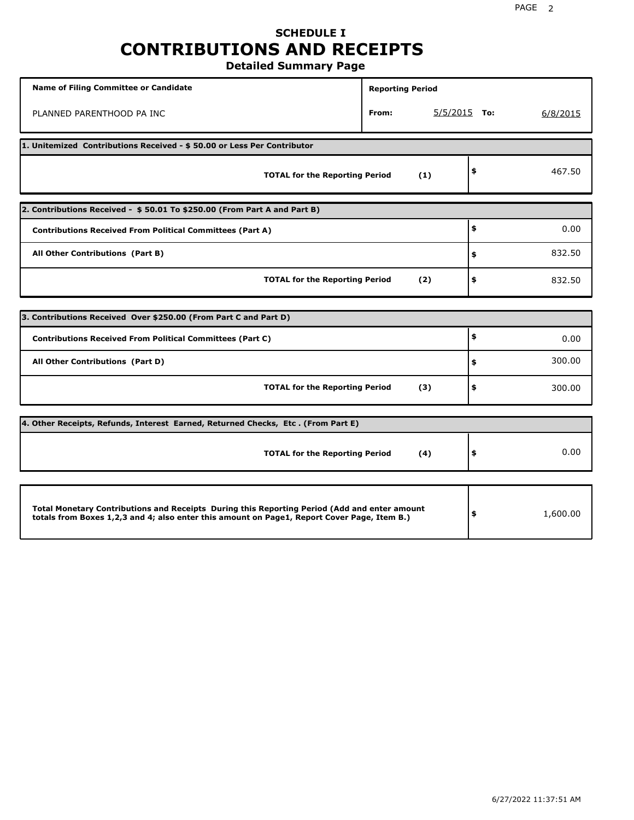### **SCHEDULE I CONTRIBUTIONS AND RECEIPTS Detailed Summary Page**

**Name of Filing Committee or Candidate Reporting Period Reporting Period** PLANNED PARENTHOOD PA INC **From:** 5/5/2015 **To:** 6/8/2015 **1. Unitemized Contributions Received - \$ 50.00 or Less Per Contributor TOTAL for the Reporting Period (1) \$** 467.50 **2. Contributions Received - \$ 50.01 To \$250.00 (From Part A and Part B) TOTAL for the Reporting Period (2) Contributions Received From Political Committees (Part A) All Other Contributions (Part B) \$ \$ \$** 0.00 832.50 832.50 **3. Contributions Received Over \$250.00 (From Part C and Part D) TOTAL for the Reporting Period (3) Contributions Received From Political Committees (Part C) All Other Contributions (Part D) \$ \$ \$** 0.00 300.00 300.00 **4. Other Receipts, Refunds, Interest Earned, Returned Checks, Etc . (From Part E) TOTAL for the Reporting Period (4) \$** 0.00 **Total Monetary Contributions and Receipts During this Reporting Period (Add and enter amount totals from Boxes 1,2,3 and 4; also enter this amount on Page1, Report Cover Page, Item B.) \$** 1,600.00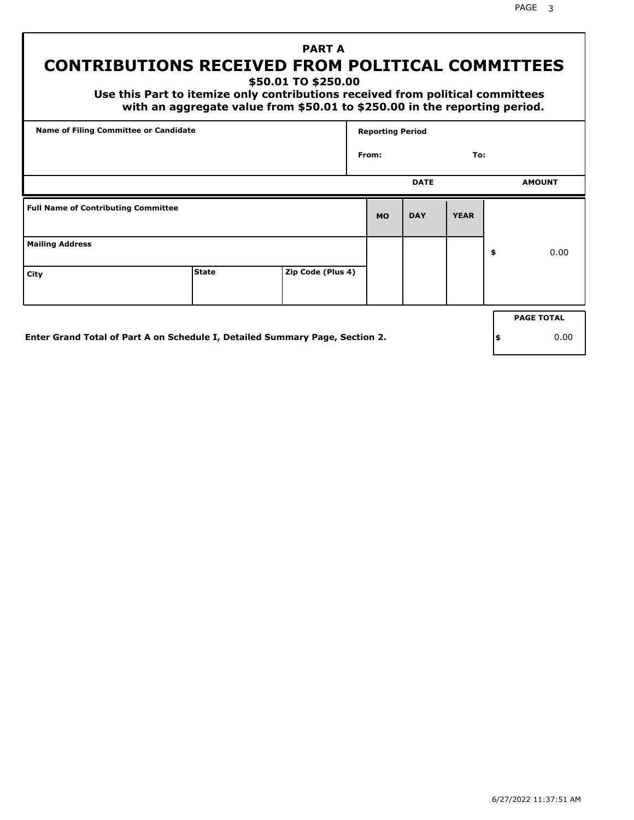# **PART A**

# **CONTRIBUTIONS RECEIVED FROM POLITICAL COMMITTEES**

**\$50.01 TO \$250.00**

 **Use this Part to itemize only contributions received from political committees with an aggregate value from \$50.01 to \$250.00 in the reporting period.**

| Name of Filing Committee or Candidate      |              |                   | <b>Reporting Period</b> |             |             |    |                   |
|--------------------------------------------|--------------|-------------------|-------------------------|-------------|-------------|----|-------------------|
|                                            |              |                   | To:<br>From:            |             |             |    |                   |
|                                            |              |                   |                         | <b>DATE</b> |             |    | <b>AMOUNT</b>     |
| <b>Full Name of Contributing Committee</b> |              |                   | <b>MO</b>               | <b>DAY</b>  | <b>YEAR</b> |    |                   |
| <b>Mailing Address</b>                     |              |                   |                         |             |             | \$ | 0.00              |
| City                                       | <b>State</b> | Zip Code (Plus 4) |                         |             |             |    |                   |
|                                            |              |                   |                         |             |             |    |                   |
|                                            |              |                   |                         |             |             |    | <b>PAGE TOTAL</b> |

**Enter Grand Total of Part A on Schedule I, Detailed Summary Page, Section 2.**

**\$** 0.00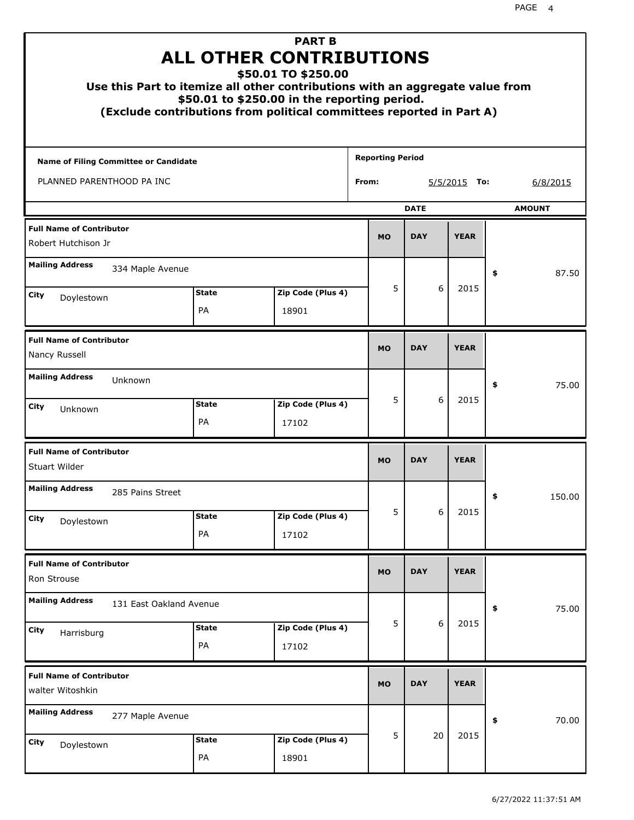| Use this Part to itemize all other contributions with an aggregate value from |                    | <b>PART B</b><br><b>ALL OTHER CONTRIBUTIONS</b><br>\$50.01 TO \$250.00<br>\$50.01 to \$250.00 in the reporting period.<br>(Exclude contributions from political committees reported in Part A) |                         |                |             |               |  |  |
|-------------------------------------------------------------------------------|--------------------|------------------------------------------------------------------------------------------------------------------------------------------------------------------------------------------------|-------------------------|----------------|-------------|---------------|--|--|
| <b>Name of Filing Committee or Candidate</b>                                  |                    |                                                                                                                                                                                                | <b>Reporting Period</b> |                |             |               |  |  |
| PLANNED PARENTHOOD PA INC                                                     |                    |                                                                                                                                                                                                | From:                   | $5/5/2015$ To: |             |               |  |  |
|                                                                               |                    |                                                                                                                                                                                                |                         | <b>DATE</b>    |             | <b>AMOUNT</b> |  |  |
| <b>Full Name of Contributor</b><br>Robert Hutchison Jr                        |                    |                                                                                                                                                                                                | <b>MO</b>               | <b>DAY</b>     | <b>YEAR</b> |               |  |  |
| <b>Mailing Address</b><br>334 Maple Avenue                                    |                    |                                                                                                                                                                                                |                         |                |             | \$<br>87.50   |  |  |
| City                                                                          | 5                  | 6                                                                                                                                                                                              | 2015                    |                |             |               |  |  |
| Doylestown                                                                    | PA                 | 18901                                                                                                                                                                                          |                         |                |             |               |  |  |
| <b>Full Name of Contributor</b><br>Nancy Russell                              | <b>MO</b>          | <b>DAY</b>                                                                                                                                                                                     | <b>YEAR</b>             |                |             |               |  |  |
| <b>Mailing Address</b><br>Unknown                                             |                    |                                                                                                                                                                                                |                         |                |             | 75.00<br>\$   |  |  |
| City<br>Unknown                                                               | <b>State</b><br>PA | Zip Code (Plus 4)<br>17102                                                                                                                                                                     | 5                       | 6              | 2015        |               |  |  |
| <b>Full Name of Contributor</b><br>Stuart Wilder                              |                    |                                                                                                                                                                                                | <b>MO</b>               | <b>DAY</b>     | <b>YEAR</b> |               |  |  |
| <b>Mailing Address</b><br>285 Pains Street                                    |                    |                                                                                                                                                                                                |                         |                |             | 150.00<br>÷,  |  |  |
| <b>City</b><br>Doylestown                                                     | <b>State</b><br>PA | Zip Code (Plus 4)<br>17102                                                                                                                                                                     | 5                       | 6              | 2015        |               |  |  |
|                                                                               |                    |                                                                                                                                                                                                |                         |                |             |               |  |  |
| <b>Full Name of Contributor</b><br>Ron Strouse                                |                    |                                                                                                                                                                                                | <b>MO</b>               | <b>DAY</b>     | <b>YEAR</b> |               |  |  |
| <b>Mailing Address</b><br>131 East Oakland Avenue                             |                    |                                                                                                                                                                                                |                         |                |             | 75.00<br>\$   |  |  |
| <b>City</b><br>Harrisburg                                                     | <b>State</b><br>PA | Zip Code (Plus 4)<br>17102                                                                                                                                                                     | 5                       | 6              | 2015        |               |  |  |
| <b>Full Name of Contributor</b><br>walter Witoshkin                           |                    |                                                                                                                                                                                                | <b>MO</b>               | <b>DAY</b>     | <b>YEAR</b> |               |  |  |
| <b>Mailing Address</b><br>277 Maple Avenue                                    |                    |                                                                                                                                                                                                |                         |                |             | \$<br>70.00   |  |  |
| <b>City</b><br>Doylestown                                                     | <b>State</b><br>PA | Zip Code (Plus 4)<br>18901                                                                                                                                                                     | 5                       | 20             | 2015        |               |  |  |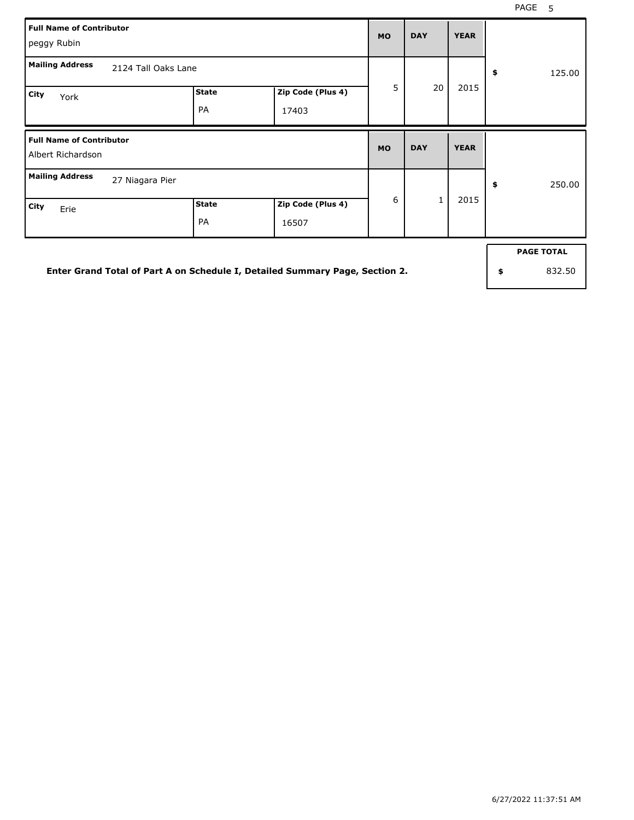| <b>Full Name of Contributor</b><br>peggy Rubin                   |  |  |           |              | <b>YEAR</b> |              |
|------------------------------------------------------------------|--|--|-----------|--------------|-------------|--------------|
| <b>Mailing Address</b><br>2124 Tall Oaks Lane                    |  |  | 5         |              |             | \$<br>125.00 |
| <b>State</b><br>Zip Code (Plus 4)<br>City<br>York<br>PA<br>17403 |  |  |           | 20           | 2015        |              |
| <b>Full Name of Contributor</b><br>Albert Richardson             |  |  |           |              |             |              |
|                                                                  |  |  | <b>MO</b> | <b>DAY</b>   | <b>YEAR</b> |              |
| <b>Mailing Address</b><br>27 Niagara Pier                        |  |  | 6         | $\mathbf{1}$ | 2015        | \$<br>250.00 |

**Enter Grand Total of Part A on Schedule I, Detailed Summary Page, Section 2.**

**PAGE TOTAL**

**\$** 832.50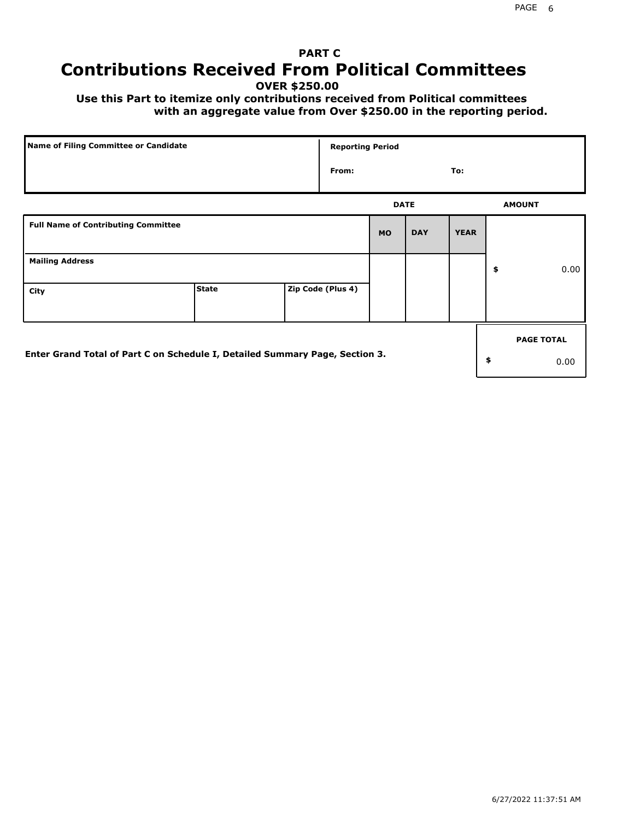# **PART C Contributions Received From Political Committees**

**OVER \$250.00**

 **Use this Part to itemize only contributions received from Political committees with an aggregate value from Over \$250.00 in the reporting period.**

| Name of Filing Committee or Candidate                                        |              | <b>Reporting Period</b> |             |            |             |                   |
|------------------------------------------------------------------------------|--------------|-------------------------|-------------|------------|-------------|-------------------|
|                                                                              |              | From:                   |             |            | To:         |                   |
|                                                                              |              |                         | <b>DATE</b> |            |             | <b>AMOUNT</b>     |
| <b>Full Name of Contributing Committee</b>                                   |              |                         | <b>MO</b>   | <b>DAY</b> | <b>YEAR</b> |                   |
| <b>Mailing Address</b>                                                       |              |                         |             |            |             | \$<br>0.00        |
| City                                                                         | <b>State</b> | Zip Code (Plus 4)       |             |            |             |                   |
|                                                                              |              |                         |             |            |             | <b>PAGE TOTAL</b> |
| Enter Grand Total of Part C on Schedule I, Detailed Summary Page, Section 3. |              |                         |             |            |             | \$<br>0.00        |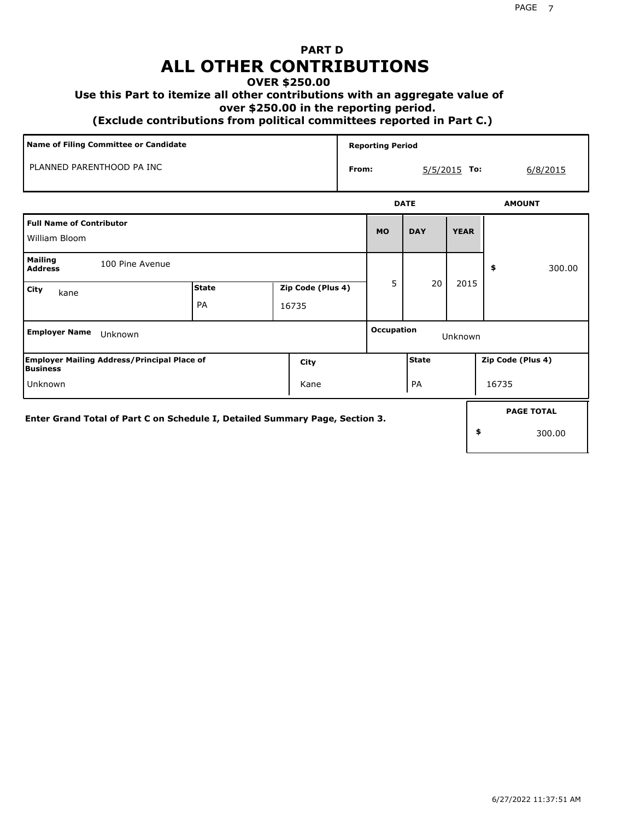# **PART D ALL OTHER CONTRIBUTIONS**

#### **OVER \$250.00**

#### **Use this Part to itemize all other contributions with an aggregate value of**

 **over \$250.00 in the reporting period.**

 **(Exclude contributions from political committees reported in Part C.)** 

| Name of Filing Committee or Candidate     |             | <b>Reporting Period</b> |            |                |          |
|-------------------------------------------|-------------|-------------------------|------------|----------------|----------|
| PLANNED PARENTHOOD PA INC                 | From:       |                         |            | $5/5/2015$ To: | 6/8/2015 |
|                                           | <b>DATE</b> |                         |            | <b>AMOUNT</b>  |          |
| Full Name of Contributor<br>William Bloom |             | <b>MO</b>               | <b>DAY</b> | <b>YEAR</b>    |          |
| Mailing                                   |             |                         |            |                |          |

| <b>Mailing</b><br><b>Address</b>                                             | 100 Pine Avenue                                    |       |                   |   |                       |      | \$                | 300.00            |  |
|------------------------------------------------------------------------------|----------------------------------------------------|-------|-------------------|---|-----------------------|------|-------------------|-------------------|--|
| City<br>kane                                                                 |                                                    | State | Zip Code (Plus 4) | 5 | 20                    | 2015 |                   |                   |  |
|                                                                              |                                                    | PA    | 16735             |   |                       |      |                   |                   |  |
| <b>Employer Name</b><br>Unknown                                              |                                                    |       |                   |   | Occupation<br>Unknown |      |                   |                   |  |
| <b>Business</b>                                                              | <b>Employer Mailing Address/Principal Place of</b> |       | City              |   | <b>State</b>          |      | Zip Code (Plus 4) |                   |  |
| Unknown<br>Kane                                                              |                                                    |       |                   |   | PA                    |      | 16735             |                   |  |
| Enter Grand Total of Part C on Schedule I, Detailed Summary Page, Section 3. |                                                    |       |                   |   |                       |      |                   | <b>PAGE TOTAL</b> |  |
|                                                                              |                                                    |       |                   |   | \$                    |      | 300.00            |                   |  |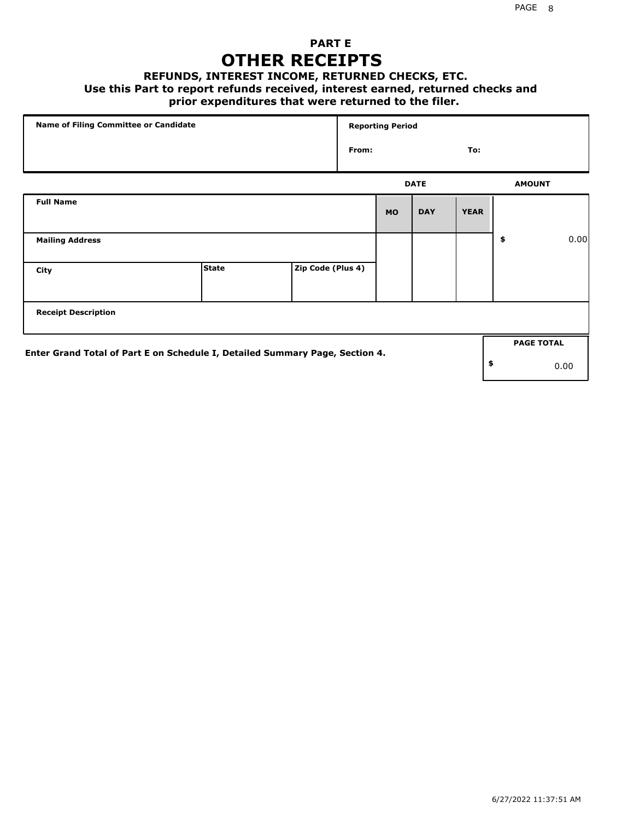### **PART E OTHER RECEIPTS**

#### **REFUNDS, INTEREST INCOME, RETURNED CHECKS, ETC.**

 **Use this Part to report refunds received, interest earned, returned checks and**

#### **prior expenditures that were returned to the filer.**

| Name of Filing Committee or Candidate                                        |              |                   |       | <b>Reporting Period</b> |             |             |    |                   |      |
|------------------------------------------------------------------------------|--------------|-------------------|-------|-------------------------|-------------|-------------|----|-------------------|------|
|                                                                              |              |                   | From: |                         |             | To:         |    |                   |      |
|                                                                              |              |                   |       |                         | <b>DATE</b> |             |    | <b>AMOUNT</b>     |      |
| <b>Full Name</b>                                                             |              |                   |       | <b>MO</b>               | <b>DAY</b>  | <b>YEAR</b> |    |                   |      |
| <b>Mailing Address</b>                                                       |              |                   |       |                         |             |             | \$ |                   | 0.00 |
| City                                                                         | <b>State</b> | Zip Code (Plus 4) |       |                         |             |             |    |                   |      |
| <b>Receipt Description</b>                                                   |              |                   |       |                         |             |             |    |                   |      |
| Enter Grand Total of Part E on Schedule I, Detailed Summary Page, Section 4. |              |                   |       |                         |             |             |    | <b>PAGE TOTAL</b> |      |
|                                                                              |              |                   |       |                         |             |             | \$ | 0.00              |      |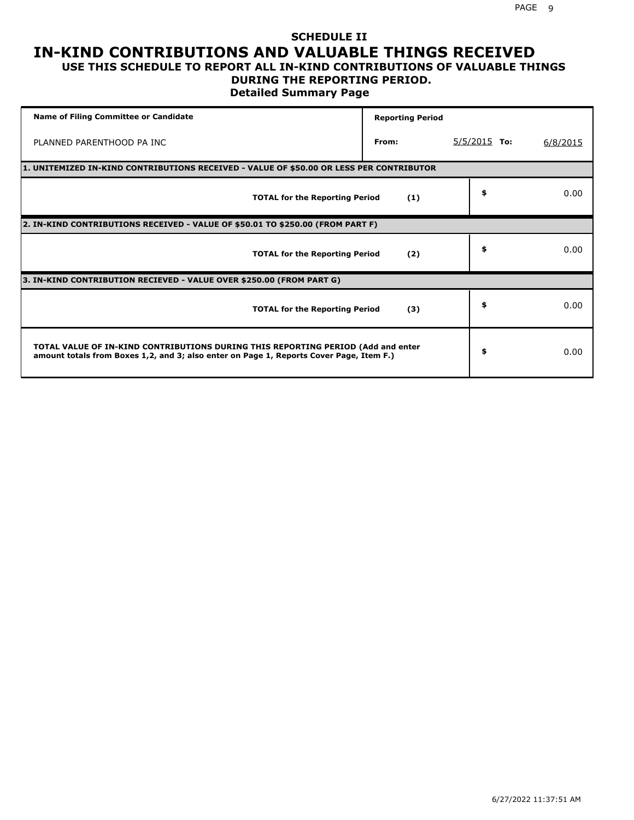#### **SCHEDULE II IN-KIND CONTRIBUTIONS AND VALUABLE THINGS RECEIVED USE THIS SCHEDULE TO REPORT ALL IN-KIND CONTRIBUTIONS OF VALUABLE THINGS**

#### **DURING THE REPORTING PERIOD.**

**Detailed Summary Page**

| <b>Name of Filing Committee or Candidate</b>                                                                                                                                | <b>Reporting Period</b>                                                                 |                |          |  |  |  |  |  |
|-----------------------------------------------------------------------------------------------------------------------------------------------------------------------------|-----------------------------------------------------------------------------------------|----------------|----------|--|--|--|--|--|
| PLANNED PARENTHOOD PA INC                                                                                                                                                   | From:                                                                                   | $5/5/2015$ To: | 6/8/2015 |  |  |  |  |  |
|                                                                                                                                                                             | 1. UNITEMIZED IN-KIND CONTRIBUTIONS RECEIVED - VALUE OF \$50.00 OR LESS PER CONTRIBUTOR |                |          |  |  |  |  |  |
| <b>TOTAL for the Reporting Period</b>                                                                                                                                       | (1)                                                                                     | \$             | 0.00     |  |  |  |  |  |
| 2. IN-KIND CONTRIBUTIONS RECEIVED - VALUE OF \$50.01 TO \$250.00 (FROM PART F)                                                                                              |                                                                                         |                |          |  |  |  |  |  |
| <b>TOTAL for the Reporting Period</b>                                                                                                                                       | (2)                                                                                     | \$             | 0.00     |  |  |  |  |  |
| 3. IN-KIND CONTRIBUTION RECIEVED - VALUE OVER \$250.00 (FROM PART G)                                                                                                        |                                                                                         |                |          |  |  |  |  |  |
| <b>TOTAL for the Reporting Period</b>                                                                                                                                       | (3)                                                                                     | \$             | 0.00     |  |  |  |  |  |
| TOTAL VALUE OF IN-KIND CONTRIBUTIONS DURING THIS REPORTING PERIOD (Add and enter<br>amount totals from Boxes 1,2, and 3; also enter on Page 1, Reports Cover Page, Item F.) |                                                                                         | \$             | 0.00     |  |  |  |  |  |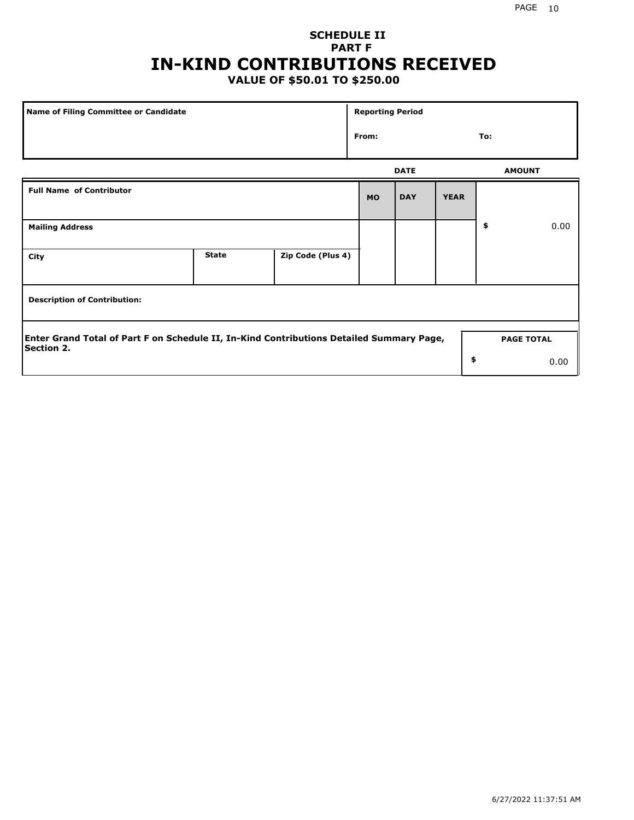## **SCHEDULE II PART F IN-KIND CONTRIBUTIONS RECEIVED**

### **VALUE OF \$50.01 TO \$250.00**

| <b>Name of Filing Committee or Candidate</b>                                                                  |              |                   | <b>Reporting Period</b> |             |             |     |                   |  |
|---------------------------------------------------------------------------------------------------------------|--------------|-------------------|-------------------------|-------------|-------------|-----|-------------------|--|
|                                                                                                               |              |                   | From:                   |             |             | To: |                   |  |
|                                                                                                               |              |                   |                         | <b>DATE</b> |             |     | <b>AMOUNT</b>     |  |
| <b>Full Name of Contributor</b>                                                                               |              |                   | <b>MO</b>               | <b>DAY</b>  | <b>YEAR</b> |     |                   |  |
| <b>Mailing Address</b>                                                                                        |              |                   |                         |             |             | \$  | 0.00              |  |
| City                                                                                                          | <b>State</b> | Zip Code (Plus 4) |                         |             |             |     |                   |  |
| <b>Description of Contribution:</b>                                                                           |              |                   |                         |             |             |     |                   |  |
| Enter Grand Total of Part F on Schedule II, In-Kind Contributions Detailed Summary Page,<br><b>Section 2.</b> |              |                   |                         |             |             |     | <b>PAGE TOTAL</b> |  |
|                                                                                                               |              |                   |                         |             | \$          |     | 0.00              |  |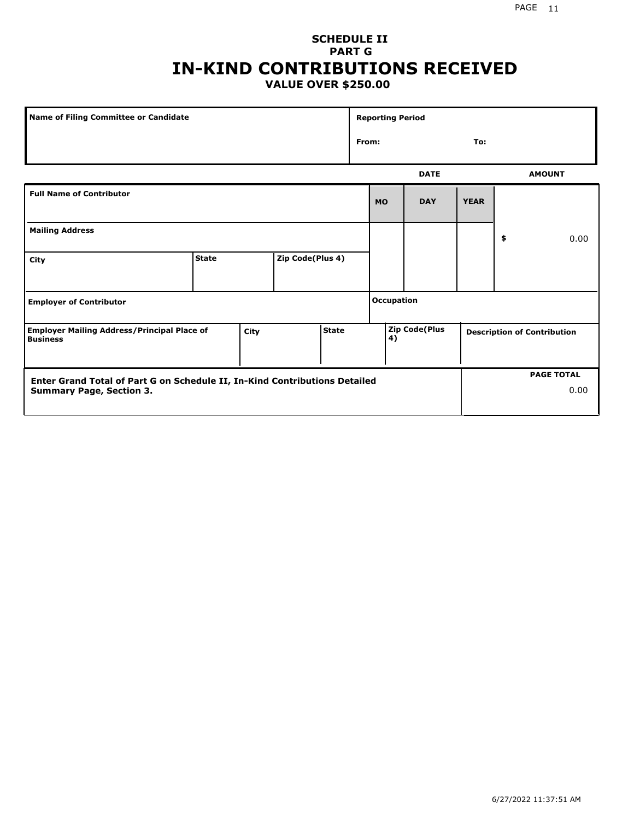#### PAGE 11

#### **SCHEDULE II PART G IN-KIND CONTRIBUTIONS RECEIVED VALUE OVER \$250.00**

| <b>Name of Filing Committee or Candidate</b>                                                                  |              |  |                  |  |                   | <b>Reporting Period</b> |             |             |                                    |                   |      |
|---------------------------------------------------------------------------------------------------------------|--------------|--|------------------|--|-------------------|-------------------------|-------------|-------------|------------------------------------|-------------------|------|
|                                                                                                               |              |  |                  |  |                   | From:                   |             | To:         |                                    |                   |      |
|                                                                                                               |              |  |                  |  |                   |                         | <b>DATE</b> |             |                                    | <b>AMOUNT</b>     |      |
| <b>Full Name of Contributor</b>                                                                               |              |  |                  |  |                   | <b>MO</b>               | <b>DAY</b>  | <b>YEAR</b> |                                    |                   |      |
| <b>Mailing Address</b>                                                                                        |              |  |                  |  |                   |                         |             | \$          |                                    | 0.00              |      |
| City                                                                                                          | <b>State</b> |  | Zip Code(Plus 4) |  |                   |                         |             |             |                                    |                   |      |
| <b>Employer of Contributor</b>                                                                                |              |  |                  |  | <b>Occupation</b> |                         |             |             |                                    |                   |      |
| <b>State</b><br><b>Employer Mailing Address/Principal Place of</b><br>City<br><b>Business</b>                 |              |  |                  |  | 4)                | <b>Zip Code(Plus</b>    |             |             | <b>Description of Contribution</b> |                   |      |
| Enter Grand Total of Part G on Schedule II, In-Kind Contributions Detailed<br><b>Summary Page, Section 3.</b> |              |  |                  |  |                   |                         |             |             |                                    | <b>PAGE TOTAL</b> | 0.00 |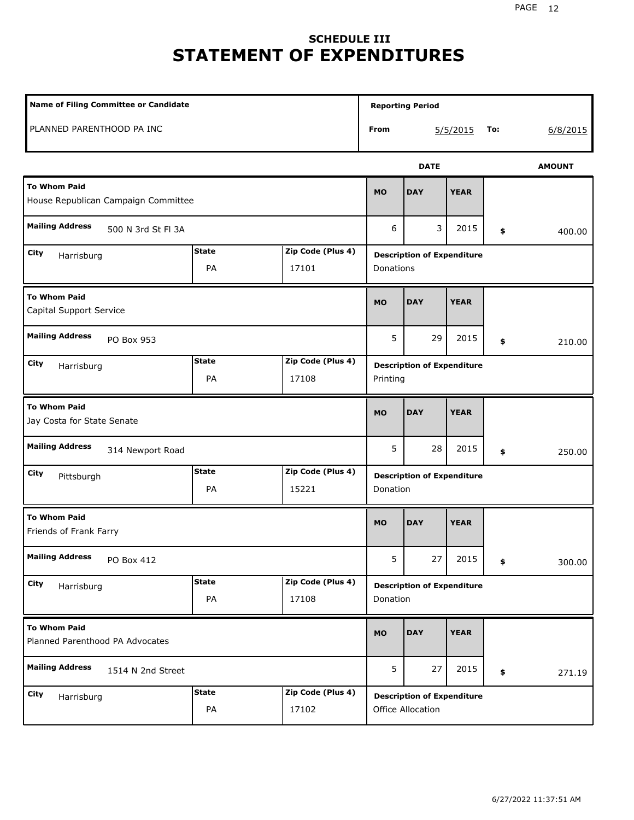# **SCHEDULE III STATEMENT OF EXPENDITURES**

| Name of Filing Committee or Candidate                                     |                                               |                            |                                                | <b>Reporting Period</b>                                |             |     |               |  |
|---------------------------------------------------------------------------|-----------------------------------------------|----------------------------|------------------------------------------------|--------------------------------------------------------|-------------|-----|---------------|--|
| PLANNED PARENTHOOD PA INC                                                 |                                               |                            | From                                           |                                                        | 5/5/2015    | To: | 6/8/2015      |  |
|                                                                           |                                               |                            |                                                | <b>DATE</b>                                            |             |     | <b>AMOUNT</b> |  |
| <b>To Whom Paid</b><br>House Republican Campaign Committee                |                                               |                            | <b>MO</b>                                      | <b>DAY</b>                                             | <b>YEAR</b> |     |               |  |
| <b>Mailing Address</b><br>500 N 3rd St Fl 3A                              |                                               |                            | 6                                              | 3                                                      | 2015        | \$  | 400.00        |  |
| City<br>Harrisburg                                                        | <b>State</b><br>PA                            | Zip Code (Plus 4)<br>17101 | <b>Description of Expenditure</b><br>Donations |                                                        |             |     |               |  |
| <b>To Whom Paid</b><br>Capital Support Service                            |                                               |                            |                                                | <b>DAY</b>                                             | <b>YEAR</b> |     |               |  |
| <b>Mailing Address</b><br>PO Box 953<br>Zip Code (Plus 4)<br><b>State</b> |                                               |                            |                                                | 29                                                     | 2015        | \$  | 210.00        |  |
| City<br>Harrisburg                                                        | <b>Description of Expenditure</b><br>Printing |                            |                                                |                                                        |             |     |               |  |
| <b>To Whom Paid</b><br>Jay Costa for State Senate                         |                                               |                            |                                                | <b>DAY</b>                                             | <b>YEAR</b> |     |               |  |
| <b>Mailing Address</b><br>314 Newport Road                                |                                               |                            | 5                                              | 28                                                     | 2015        | \$  | 250.00        |  |
| City<br>Pittsburgh                                                        | <b>State</b><br>PA                            | Zip Code (Plus 4)<br>15221 | Donation                                       | <b>Description of Expenditure</b>                      |             |     |               |  |
| <b>To Whom Paid</b><br>Friends of Frank Farry                             |                                               |                            | <b>MO</b>                                      | <b>DAY</b>                                             | <b>YEAR</b> |     |               |  |
| <b>Mailing Address</b><br>PO Box 412                                      |                                               |                            | 5                                              | 27                                                     | 2015        | \$  | 300.00        |  |
| City<br>Harrisburg                                                        | <b>State</b><br>PA                            | Zip Code (Plus 4)<br>17108 | Donation                                       | <b>Description of Expenditure</b>                      |             |     |               |  |
| <b>To Whom Paid</b><br>Planned Parenthood PA Advocates                    |                                               |                            | <b>MO</b>                                      | <b>DAY</b>                                             | <b>YEAR</b> |     |               |  |
| <b>Mailing Address</b><br>1514 N 2nd Street                               |                                               |                            |                                                | 27                                                     | 2015        | \$  | 271.19        |  |
| City<br>Harrisburg                                                        | <b>State</b><br>PA                            | Zip Code (Plus 4)<br>17102 |                                                | <b>Description of Expenditure</b><br>Office Allocation |             |     |               |  |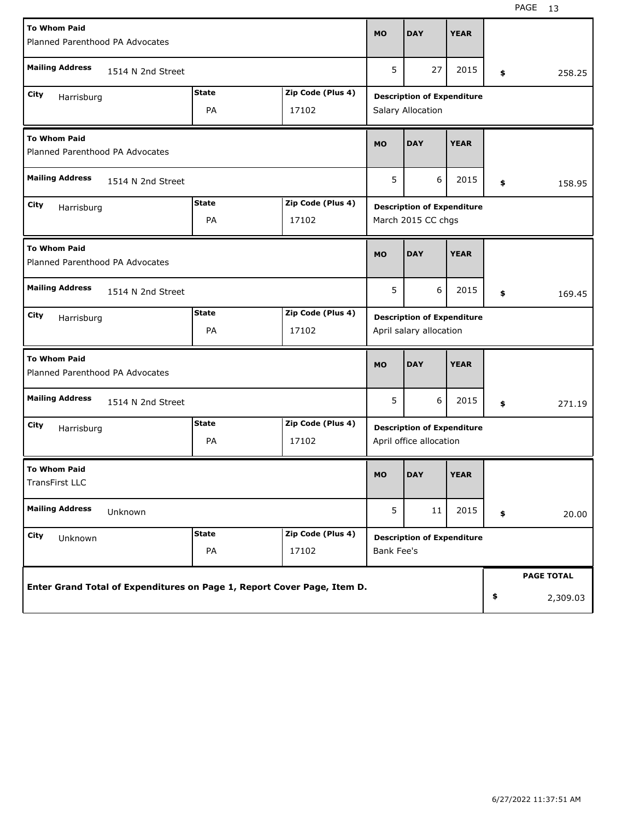| <b>To Whom Paid</b>                                                     |              |                                   | <b>MO</b>                                                    | <b>DAY</b>                        | <b>YEAR</b> |    |                   |  |
|-------------------------------------------------------------------------|--------------|-----------------------------------|--------------------------------------------------------------|-----------------------------------|-------------|----|-------------------|--|
| Planned Parenthood PA Advocates                                         |              |                                   |                                                              |                                   |             |    |                   |  |
|                                                                         |              |                                   |                                                              |                                   |             |    |                   |  |
| <b>Mailing Address</b><br>1514 N 2nd Street                             |              |                                   | 5                                                            | 27                                | 2015        | \$ | 258.25            |  |
| City                                                                    | <b>State</b> | Zip Code (Plus 4)                 |                                                              |                                   |             |    |                   |  |
| Harrisburg<br>PA<br>17102                                               |              |                                   | <b>Description of Expenditure</b><br>Salary Allocation       |                                   |             |    |                   |  |
|                                                                         |              |                                   |                                                              |                                   |             |    |                   |  |
|                                                                         |              |                                   |                                                              |                                   |             |    |                   |  |
| <b>To Whom Paid</b><br>Planned Parenthood PA Advocates                  |              |                                   | <b>MO</b>                                                    | <b>DAY</b>                        | <b>YEAR</b> |    |                   |  |
|                                                                         |              |                                   |                                                              |                                   |             |    |                   |  |
| <b>Mailing Address</b><br>1514 N 2nd Street                             |              |                                   |                                                              |                                   |             |    |                   |  |
|                                                                         |              |                                   | 5                                                            | 6                                 | 2015        | \$ | 158.95            |  |
| City                                                                    | <b>State</b> | Zip Code (Plus 4)                 |                                                              |                                   |             |    |                   |  |
| Harrisburg                                                              |              |                                   |                                                              | <b>Description of Expenditure</b> |             |    |                   |  |
|                                                                         | PA           | 17102                             | March 2015 CC chgs                                           |                                   |             |    |                   |  |
|                                                                         |              |                                   |                                                              |                                   |             |    |                   |  |
| <b>To Whom Paid</b>                                                     |              |                                   | <b>MO</b>                                                    | <b>DAY</b>                        | <b>YEAR</b> |    |                   |  |
| Planned Parenthood PA Advocates                                         |              |                                   |                                                              |                                   |             |    |                   |  |
| <b>Mailing Address</b><br>1514 N 2nd Street                             |              |                                   |                                                              |                                   |             |    |                   |  |
|                                                                         |              |                                   | 5                                                            | 6                                 | 2015        | \$ | 169.45            |  |
| <b>State</b><br>Zip Code (Plus 4)<br>City                               |              |                                   |                                                              |                                   |             |    |                   |  |
| Harrisburg                                                              |              | <b>Description of Expenditure</b> |                                                              |                                   |             |    |                   |  |
|                                                                         | PA           | 17102                             | April salary allocation                                      |                                   |             |    |                   |  |
|                                                                         |              |                                   |                                                              |                                   |             |    |                   |  |
| <b>To Whom Paid</b>                                                     |              |                                   | <b>MO</b>                                                    | <b>DAY</b>                        | <b>YEAR</b> |    |                   |  |
| Planned Parenthood PA Advocates                                         |              |                                   |                                                              |                                   |             |    |                   |  |
| <b>Mailing Address</b>                                                  |              |                                   |                                                              |                                   |             |    |                   |  |
| 1514 N 2nd Street                                                       |              |                                   | 5                                                            | 6                                 | 2015        | \$ | 271.19            |  |
| City                                                                    | <b>State</b> | Zip Code (Plus 4)                 |                                                              |                                   |             |    |                   |  |
| Harrisburg                                                              | PA           | 17102                             | <b>Description of Expenditure</b><br>April office allocation |                                   |             |    |                   |  |
|                                                                         |              |                                   |                                                              |                                   |             |    |                   |  |
| <b>To Whom Paid</b>                                                     |              |                                   |                                                              |                                   |             |    |                   |  |
| <b>TransFirst LLC</b>                                                   |              |                                   | <b>MO</b>                                                    | <b>DAY</b>                        | <b>YEAR</b> |    |                   |  |
|                                                                         |              |                                   |                                                              |                                   |             |    |                   |  |
| <b>Mailing Address</b><br>Unknown                                       |              |                                   | 5                                                            | 11                                | 2015        |    |                   |  |
|                                                                         |              |                                   |                                                              |                                   |             | \$ | 20.00             |  |
| City<br>Unknown                                                         | <b>State</b> | Zip Code (Plus 4)                 | <b>Description of Expenditure</b>                            |                                   |             |    |                   |  |
|                                                                         | PA           | 17102                             | <b>Bank Fee's</b>                                            |                                   |             |    |                   |  |
|                                                                         |              |                                   |                                                              |                                   |             |    |                   |  |
| Enter Grand Total of Expenditures on Page 1, Report Cover Page, Item D. |              |                                   |                                                              |                                   |             |    | <b>PAGE TOTAL</b> |  |
|                                                                         |              |                                   |                                                              |                                   |             |    |                   |  |
|                                                                         |              |                                   |                                                              |                                   |             | \$ | 2,309.03          |  |
|                                                                         |              |                                   |                                                              |                                   |             |    |                   |  |